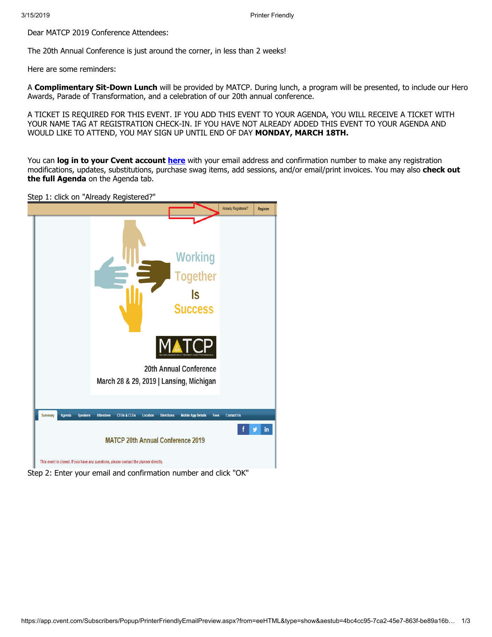Dear MATCP 2019 Conference Attendees:

The 20th Annual Conference is just around the corner, in less than 2 weeks!

Here are some reminders:

A **Complimentary Sit-Down Lunch** will be provided by MATCP. During lunch, a program will be presented, to include our Hero Awards, Parade of Transformation, and a celebration of our 20th annual conference.

A TICKET IS REQUIRED FOR THIS EVENT. IF YOU ADD THIS EVENT TO YOUR AGENDA, YOU WILL RECEIVE A TICKET WITH YOUR NAME TAG AT REGISTRATION CHECK-IN. IF YOU HAVE NOT ALREADY ADDED THIS EVENT TO YOUR AGENDA AND WOULD LIKE TO ATTEND, YOU MAY SIGN UP UNTIL END OF DAY **MONDAY, MARCH 18TH.**

You can **log in to your Cvent account [here](javascript:void(0))** with your email address and confirmation number to make any registration modifications, updates, substitutions, purchase swag items, add sessions, and/or email/print invoices. You may also **check out the full Agenda** on the Agenda tab.

Step 1: click on "Already Registered?"



Step 2: Enter your email and confirmation number and click "OK"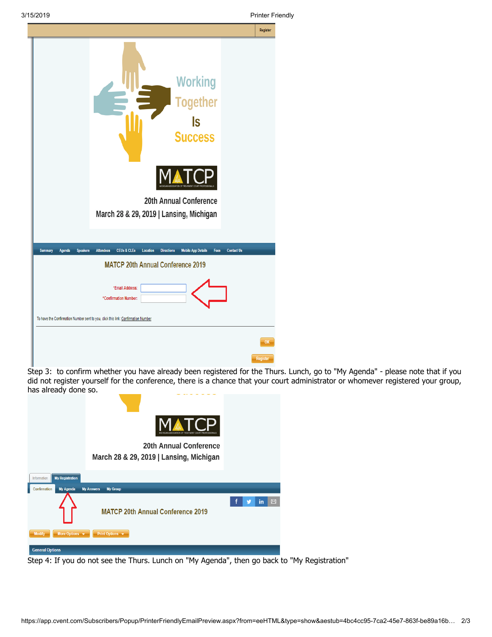| 3/15/2019                                   |                                                                                                                                                                                   | <b>Printer Friendly</b> |
|---------------------------------------------|-----------------------------------------------------------------------------------------------------------------------------------------------------------------------------------|-------------------------|
|                                             |                                                                                                                                                                                   | Register                |
|                                             | <b>Working</b><br><b>Together</b><br>ls<br><b>Success</b><br>20th Annual Conference<br>March 28 & 29, 2019   Lansing, Michigan                                                    |                         |
| <b>Summary</b><br>Agenda<br><b>Speakers</b> | <b>CEUs &amp; CLEs</b><br>Location<br><b>Directions</b><br><b>Mobile App Details</b><br><b>Contact Us</b><br><b>Attendees</b><br>Fees<br><b>MATCP 20th Annual Conference 2019</b> |                         |
|                                             | *Email Address:<br>*Confirmation Number:<br>To have the Confirmation Number sent to you, click this link: Confirmation Number                                                     |                         |
|                                             |                                                                                                                                                                                   |                         |
|                                             |                                                                                                                                                                                   | OK                      |

Step 3: to confirm whether you have already been registered for the Thurs. Lunch, go to "My Agenda" - please note that if you did not register yourself for the conference, there is a chance that your court administrator or whomever registered your group, has already done so.

|                                                | TCP<br>GAN ASSOCIATION OF TREATMENT COURT PROFESSIONALS                  |  |    |   |
|------------------------------------------------|--------------------------------------------------------------------------|--|----|---|
|                                                | <b>20th Annual Conference</b><br>March 28 & 29, 2019   Lansing, Michigan |  |    |   |
| <b>My Registration</b><br>Information          |                                                                          |  |    |   |
| Confirmation<br><b>My Agenda</b>               | <b>My Answers</b><br><b>My Group</b>                                     |  |    |   |
|                                                | <b>MATCP 20th Annual Conference 2019</b>                                 |  | in | ⊠ |
| More Options $\mathbf{\cdot}$<br><b>Modify</b> | Print Options v                                                          |  |    |   |
| <b>General Options</b>                         |                                                                          |  |    |   |

Step 4: If you do not see the Thurs. Lunch on "My Agenda", then go back to "My Registration"